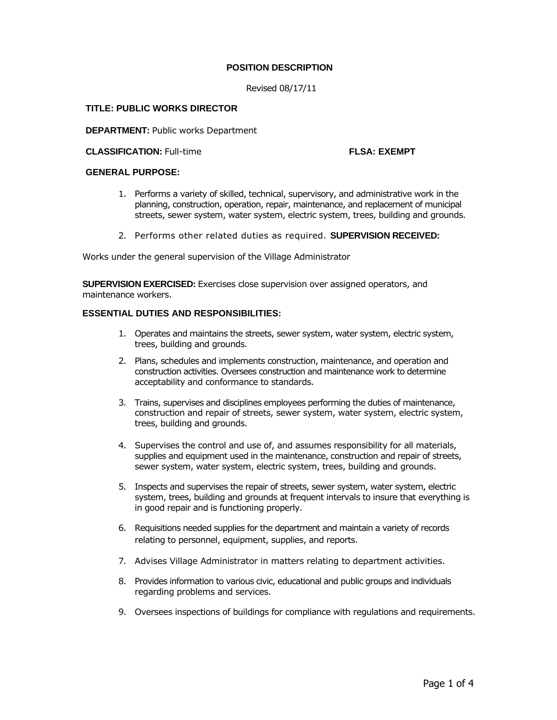# **POSITION DESCRIPTION**

Revised 08/17/11

## **TITLE: PUBLIC WORKS DIRECTOR**

**DEPARTMENT: Public works Department** 

**CLASSIFICATION:** Full-time **FLSA: EXEMPT**

## **GENERAL PURPOSE:**

- 1. Performs a variety of skilled, technical, supervisory, and administrative work in the planning, construction, operation, repair, maintenance, and replacement of municipal streets, sewer system, water system, electric system, trees, building and grounds.
- 2. Performs other related duties as required. **SUPERVISION RECEIVED:**

Works under the general supervision of the Village Administrator

**SUPERVISION EXERCISED:** Exercises close supervision over assigned operators, and maintenance workers.

# **ESSENTIAL DUTIES AND RESPONSIBILITIES:**

- 1. Operates and maintains the streets, sewer system, water system, electric system, trees, building and grounds.
- 2. Plans, schedules and implements construction, maintenance, and operation and construction activities. Oversees construction and maintenance work to determine acceptability and conformance to standards.
- 3. Trains, supervises and disciplines employees performing the duties of maintenance, construction and repair of streets, sewer system, water system, electric system, trees, building and grounds.
- 4. Supervises the control and use of, and assumes responsibility for all materials, supplies and equipment used in the maintenance, construction and repair of streets, sewer system, water system, electric system, trees, building and grounds.
- 5. Inspects and supervises the repair of streets, sewer system, water system, electric system, trees, building and grounds at frequent intervals to insure that everything is in good repair and is functioning properly.
- 6. Requisitions needed supplies for the department and maintain a variety of records relating to personnel, equipment, supplies, and reports.
- 7. Advises Village Administrator in matters relating to department activities.
- 8. Provides information to various civic, educational and public groups and individuals regarding problems and services.
- 9. Oversees inspections of buildings for compliance with regulations and requirements.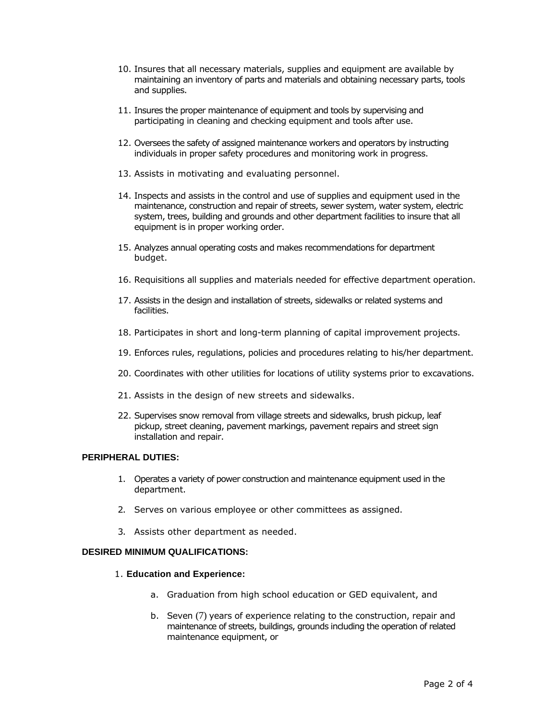- 10. Insures that all necessary materials, supplies and equipment are available by maintaining an inventory of parts and materials and obtaining necessary parts, tools and supplies.
- 11. Insures the proper maintenance of equipment and tools by supervising and participating in cleaning and checking equipment and tools after use.
- 12. Oversees the safety of assigned maintenance workers and operators by instructing individuals in proper safety procedures and monitoring work in progress.
- 13. Assists in motivating and evaluating personnel.
- 14. Inspects and assists in the control and use of supplies and equipment used in the maintenance, construction and repair of streets, sewer system, water system, electric system, trees, building and grounds and other department facilities to insure that all equipment is in proper working order.
- 15. Analyzes annual operating costs and makes recommendations for department budget.
- 16. Requisitions all supplies and materials needed for effective department operation.
- 17. Assists in the design and installation of streets, sidewalks or related systems and facilities.
- 18. Participates in short and long-term planning of capital improvement projects.
- 19. Enforces rules, regulations, policies and procedures relating to his/her department.
- 20. Coordinates with other utilities for locations of utility systems prior to excavations.
- 21. Assists in the design of new streets and sidewalks.
- 22. Supervises snow removal from village streets and sidewalks, brush pickup, leaf pickup, street cleaning, pavement markings, pavement repairs and street sign installation and repair.

# **PERIPHERAL DUTIES:**

- 1. Operates a variety of power construction and maintenance equipment used in the department.
- 2. Serves on various employee or other committees as assigned.
- 3. Assists other department as needed.

## **DESIRED MINIMUM QUALIFICATIONS:**

### 1. **Education and Experience:**

- a. Graduation from high school education or GED equivalent, and
- b. Seven (7) years of experience relating to the construction, repair and maintenance of streets, buildings, grounds including the operation of related maintenance equipment, or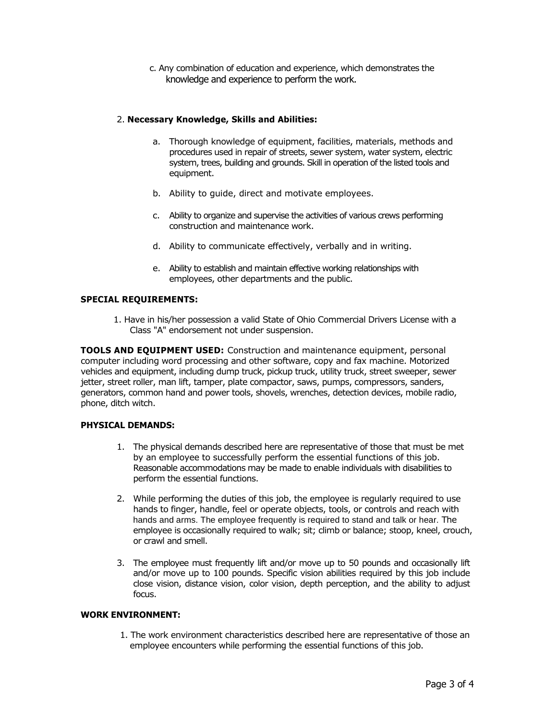c. Any combination of education and experience, which demonstrates the knowledge and experience to perform the work.

# 2. **Necessary Knowledge, Skills and Abilities:**

- a. Thorough knowledge of equipment, facilities, materials, methods and procedures used in repair of streets, sewer system, water system, electric system, trees, building and grounds. Skill in operation of the listed tools and equipment.
- b. Ability to guide, direct and motivate employees.
- c. Ability to organize and supervise the activities of various crews performing construction and maintenance work.
- d. Ability to communicate effectively, verbally and in writing.
- e. Ability to establish and maintain effective working relationships with employees, other departments and the public.

# **SPECIAL REQUIREMENTS:**

1. Have in his/her possession a valid State of Ohio Commercial Drivers License with a Class "A" endorsement not under suspension.

**TOOLS AND EQUIPMENT USED:** Construction and maintenance equipment, personal computer including word processing and other software, copy and fax machine. Motorized vehicles and equipment, including dump truck, pickup truck, utility truck, street sweeper, sewer jetter, street roller, man lift, tamper, plate compactor, saws, pumps, compressors, sanders, generators, common hand and power tools, shovels, wrenches, detection devices, mobile radio, phone, ditch witch.

## **PHYSICAL DEMANDS:**

- 1. The physical demands described here are representative of those that must be met by an employee to successfully perform the essential functions of this job. Reasonable accommodations may be made to enable individuals with disabilities to perform the essential functions.
- 2. While performing the duties of this job, the employee is regularly required to use hands to finger, handle, feel or operate objects, tools, or controls and reach with hands and arms. The employee frequently is required to stand and talk or hear. The employee is occasionally required to walk; sit; climb or balance; stoop, kneel, crouch, or crawl and smell.
- 3. The employee must frequently lift and/or move up to 50 pounds and occasionally lift and/or move up to 100 pounds. Specific vision abilities required by this job include close vision, distance vision, color vision, depth perception, and the ability to adjust focus.

# **WORK ENVIRONMENT:**

1. The work environment characteristics described here are representative of those an employee encounters while performing the essential functions of this job.